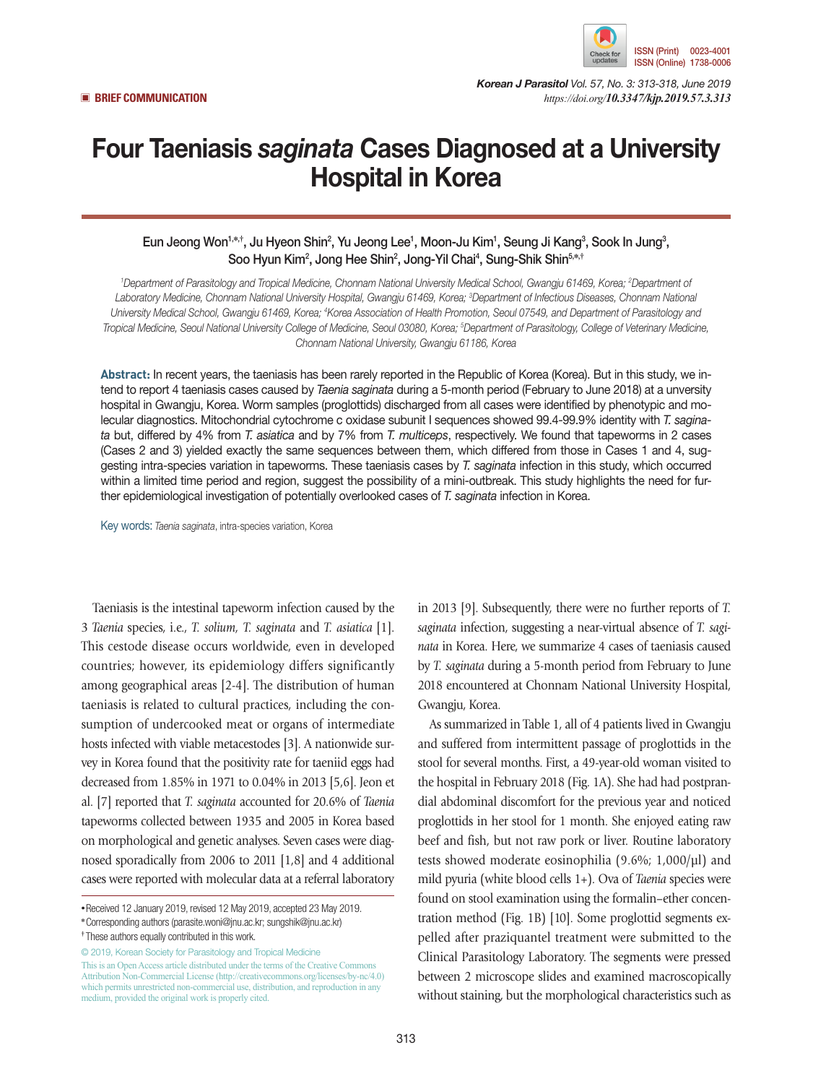

*Korean J Parasitol Vol. 57, No. 3: 313-318, June 2019* ▣ **BRIEF COMMUNICATION** *https://doi.org/10.3347/kjp.2019.57.3.313*

# Four Taeniasis *saginata* Cases Diagnosed at a University Hospital in Korea

Eun Jeong Won<sup>1,\*,†</sup>, Ju Hyeon Shin<sup>2</sup>, Yu Jeong Lee<sup>1</sup>, Moon-Ju Kim<sup>1</sup>, Seung Ji Kang<sup>3</sup>, Sook In Jung<sup>3</sup>, Soo Hyun Kim<sup>2</sup>, Jong Hee Shin<sup>2</sup>, Jong-Yil Chai<sup>4</sup>, Sung-Shik Shin<sup>5,\*,†</sup>

<sup>1</sup>Department of Parasitology and Tropical Medicine, Chonnam National University Medical School, Gwangju 61469, Korea; <sup>2</sup>Department of *Laboratory Medicine, Chonnam National University Hospital, Gwangju 61469, Korea; 3 Department of Infectious Diseases, Chonnam National*  University Medical School, Gwangju 61469, Korea; <sup>4</sup>Korea Association of Health Promotion, Seoul 07549, and Department of Parasitology and *Tropical Medicine, Seoul National University College of Medicine, Seoul 03080, Korea; 5 Department of Parasitology, College of Veterinary Medicine, Chonnam National University, Gwangju 61186, Korea*

**Abstract:** In recent years, the taeniasis has been rarely reported in the Republic of Korea (Korea). But in this study, we intend to report 4 taeniasis cases caused by *Taenia saginata* during a 5-month period (February to June 2018) at a unversity hospital in Gwangju, Korea. Worm samples (proglottids) discharged from all cases were identified by phenotypic and molecular diagnostics. Mitochondrial cytochrome c oxidase subunit I sequences showed 99.4-99.9% identity with *T. saginata* but, differed by 4% from *T. asiatica* and by 7% from *T. multiceps*, respectively. We found that tapeworms in 2 cases (Cases 2 and 3) yielded exactly the same sequences between them, which differed from those in Cases 1 and 4, suggesting intra-species variation in tapeworms. These taeniasis cases by *T. saginata* infection in this study, which occurred within a limited time period and region, suggest the possibility of a mini-outbreak. This study highlights the need for further epidemiological investigation of potentially overlooked cases of *T. saginata* infection in Korea.

Key words: *Taenia saginata*, intra-species variation, Korea

Taeniasis is the intestinal tapeworm infection caused by the 3 *Taenia* species, i.e., *T. solium, T. saginata* and *T. asiatica* [1]. This cestode disease occurs worldwide, even in developed countries; however, its epidemiology differs significantly among geographical areas [2-4]. The distribution of human taeniasis is related to cultural practices, including the consumption of undercooked meat or organs of intermediate hosts infected with viable metacestodes [3]. A nationwide survey in Korea found that the positivity rate for taeniid eggs had decreased from 1.85% in 1971 to 0.04% in 2013 [5,6]. Jeon et al. [7] reported that *T. saginata* accounted for 20.6% of *Taenia* tapeworms collected between 1935 and 2005 in Korea based on morphological and genetic analyses. Seven cases were diagnosed sporadically from 2006 to 2011 [1,8] and 4 additional cases were reported with molecular data at a referral laboratory

© 2019, Korean Society for Parasitology and Tropical Medicine This is an Open Access article distributed under the terms of the Creative Commons Attribution Non-Commercial License (http://creativecommons.org/licenses/by-nc/4.0) which permits unrestricted non-commercial use, distribution, and reproduction in any medium, provided the original work is properly cited.

in 2013 [9]. Subsequently, there were no further reports of *T. saginata* infection, suggesting a near-virtual absence of *T. saginata* in Korea. Here, we summarize 4 cases of taeniasis caused by *T. saginata* during a 5-month period from February to June 2018 encountered at Chonnam National University Hospital, Gwangju, Korea.

As summarized in Table 1, all of 4 patients lived in Gwangju and suffered from intermittent passage of proglottids in the stool for several months. First, a 49-year-old woman visited to the hospital in February 2018 (Fig. 1A). She had had postprandial abdominal discomfort for the previous year and noticed proglottids in her stool for 1 month. She enjoyed eating raw beef and fish, but not raw pork or liver. Routine laboratory tests showed moderate eosinophilia (9.6%; 1,000/µl) and mild pyuria (white blood cells 1+). Ova of *Taenia* species were found on stool examination using the formalin–ether concentration method (Fig. 1B) [10]. Some proglottid segments expelled after praziquantel treatment were submitted to the Clinical Parasitology Laboratory. The segments were pressed between 2 microscope slides and examined macroscopically without staining, but the morphological characteristics such as

**<sup>•</sup>**Received 12 January 2019, revised 12 May 2019, accepted 23 May 2019.

**<sup>\*</sup>**Corresponding authors (parasite.woni@jnu.ac.kr; sungshik@jnu.ac.kr)

**<sup>†</sup>** These authors equally contributed in this work.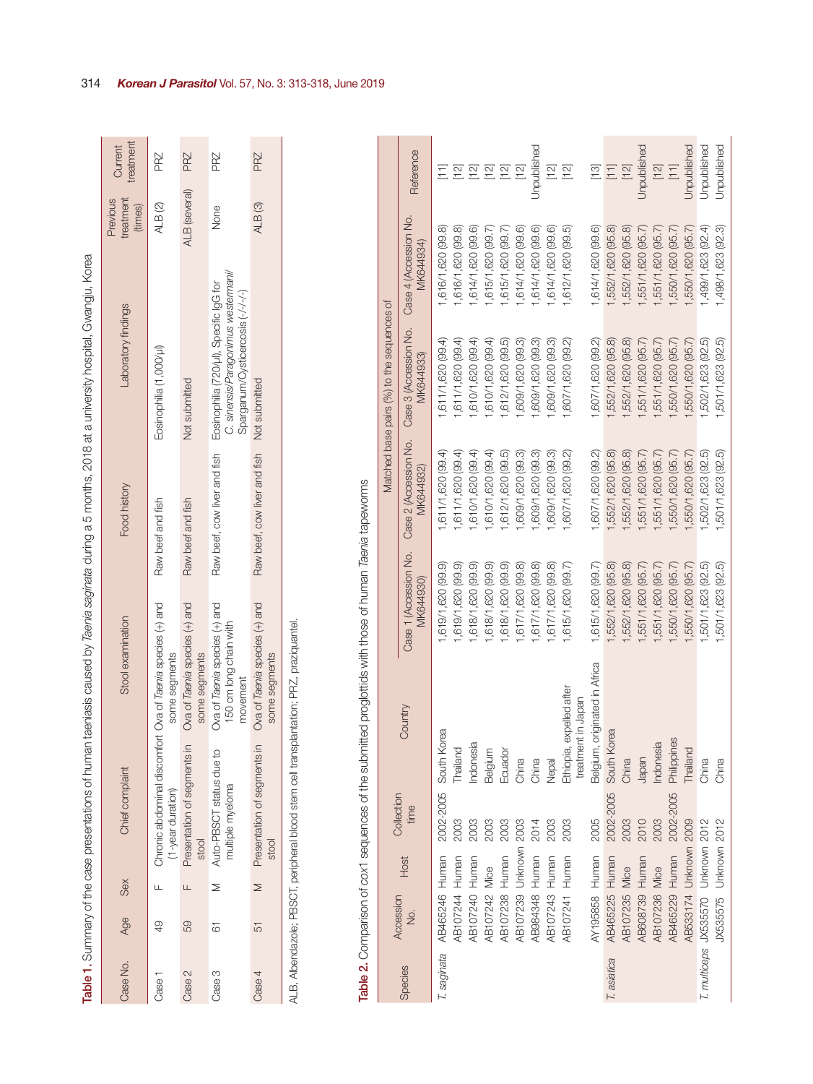| ş<br>1<br>Ó<br>j                                                          |
|---------------------------------------------------------------------------|
|                                                                           |
|                                                                           |
| ົ້າ<br>I                                                                  |
| I<br>֚֬֕<br>è<br>í                                                        |
| j                                                                         |
| ₹<br>ŧ                                                                    |
| ļ<br>į<br>¢<br>١                                                          |
| Ò<br>١<br>Ś                                                               |
| ₹                                                                         |
| į.<br>I                                                                   |
| ł<br>֦֧֦֧֦֧֦֧֦֧֦֧֦֧֦֧ׅ֧֦֧֦֧֦֧֦֦֧֦֧֦֧֦֧֦֧֚֚֚֚֚֚֬֘֝֜֓֬                      |
| ١                                                                         |
| l                                                                         |
|                                                                           |
| ï                                                                         |
| I                                                                         |
| j                                                                         |
| ह<br>ज<br>$\overline{ }$<br>ļ                                             |
| l                                                                         |
| j<br>I<br>ţ                                                               |
| ֖֖֖֧ׅ֧ׅׅ֧ׅׅ֧ׅ֧֚֚֚֚֚֚֚֚֚֚֚֚֚֚֚֚֚֚֚֚֚֚֚֚֚֡֝֜֝֬֜֝֬֜<br>ׇ֚֝֕<br>ׇ֚֬֡֡֡֡֡<br>I |
| į<br>Ī                                                                    |
| ī<br>j<br>I                                                               |
| j<br>i                                                                    |
| ļ<br>Ξ<br>i<br>֡֡֡֡֡֡<br>ׇ֚֬֡                                             |
| İ<br>j<br>$\overline{\phantom{a}}$<br>ׇ֚֘֝֬                               |
| j<br>l<br>ì<br>j                                                          |
| į<br>$\overline{a}$<br>١<br>l<br>j<br>j                                   |
| I                                                                         |
| į<br>Ž<br>ׇ֚֘                                                             |
| Ş<br>d<br>l                                                               |
| Ī<br>ì                                                                    |
| Ó                                                                         |
| d<br>֠<br>i<br>j                                                          |
| i<br>Í                                                                    |
| ĺ<br>ł                                                                    |
| ţ<br>Š<br>I                                                               |
| Ó<br>i                                                                    |
| ¢                                                                         |
| I<br>Ó<br>ì                                                               |
| i<br>i<br>5                                                               |
| i<br>$\frac{1}{2}$                                                        |
| ţ<br>ĉ<br>j<br>i                                                          |
| rest                                                                      |
|                                                                           |
|                                                                           |
|                                                                           |
| l                                                                         |
|                                                                           |
|                                                                           |
| Į                                                                         |
| ļ<br>֚֬֕                                                                  |
| l                                                                         |
|                                                                           |
|                                                                           |

|          |     |        |                                                                                 |                                                                     |                              | Table 1. Summary of the case presentations of human taeniasis caused by Taenia saginata during a 5 months, 2018 at a university hospital, Gwangju, Korea |                                  |                      |
|----------|-----|--------|---------------------------------------------------------------------------------|---------------------------------------------------------------------|------------------------------|----------------------------------------------------------------------------------------------------------------------------------------------------------|----------------------------------|----------------------|
| Case No. | Age | Sex    | Chief complaint                                                                 | Stool examination                                                   | Food history                 | Laboratory findings                                                                                                                                      | treatment<br>Previous<br>(times) | treatment<br>Current |
| Case     | QÞ  |        | Chronic abdominal discomfort Ova of Taenia species (+) and<br>(1-year duration) | some segments                                                       | Raw beef and fish            | Eosinophilia (1,000/µ)                                                                                                                                   | ALB (2)                          | PRZ                  |
| Case 2   | 59  | Щ      | $\subseteq$<br>Presentation of segments<br>stool                                | Ova of Taenia species (+) and<br>some segments                      | Raw beef and fish            | Not submitted                                                                                                                                            | <b>ALB</b> (several)             | PRZ                  |
| Case 3   | 61  |        | Auto-PBSCT status due to<br>multiple myeloma                                    | Ova of Taenia species (+) and<br>150 cm long chain with<br>movement | Raw beef, cow liver and fish | C. sinensis/Paragonimus westermani/<br>Eosinophilia (720/µl), Specific IgG for<br>Sparganum/Cysticercosis (-/-/-/-)                                      | None                             | PRZ                  |
| Case 4   | 51  | $\geq$ | Presentation of segments<br>stool                                               | Ova of Taenia species (+) and<br>some segments                      | Raw beef, cow liver and fish | Not submitted                                                                                                                                            | ALB <sub>(3)</sub>               | PRZ                  |
|          |     |        |                                                                                 |                                                                     |                              |                                                                                                                                                          |                                  |                      |

ALB, Albendazole; PBSCT, peripheral blood stem cell transplantation; PRZ, praziquantel. ALB, Albendazole; PBSCT, peripheral blood stem cell transplantation; PRZ, praziquantel.

| ֖֖֧ׅ֧ׅ֚֚֚֚֚֚֚֚֚֚֚֚֚֚֚֚֚֚֚֚֚֚֚֚֚֚֚֚֬֝֝֬֓֡֓֬ |
|--------------------------------------------|
|                                            |
|                                            |
| j<br>ׇ֚֘֡                                  |
| I                                          |
| את האי הא                                  |
|                                            |
| í                                          |
|                                            |
| ĺ<br>I                                     |
| i<br>j<br>ì                                |
| l                                          |
| ļ                                          |
|                                            |
|                                            |
| $\frac{1}{3}$                              |
| i<br>j<br>I                                |
| Ì<br>١                                     |
| Ş                                          |
| I<br>١                                     |
| Í<br>J<br>1                                |
| ׇׇ֠֡                                       |
| ļ<br>$\overline{\mathbf{S}}$               |
|                                            |
| i                                          |
| ł                                          |
| ١                                          |
| $\frac{1}{2}$                              |
| İ<br>ı<br>Ó                                |
| j                                          |
| $\frac{1}{2}$                              |
| i<br>i<br>İ<br>١                           |
| İ<br>l<br>í                                |
|                                            |
| ֦֧֜֡                                       |
|                                            |
| ة<br>أ                                     |
|                                            |
| j<br>¢                                     |
| ļ                                          |
| Į<br>J<br>l                                |
| )<br>١                                     |
| d<br>J<br>i                                |
|                                            |
| aha.<br>i                                  |
| ı                                          |
|                                            |

|             |                                    |      | Collection |                                                   |                                    |                                    | Matched base pairs (%) to the sequences of |                                    |                                       |
|-------------|------------------------------------|------|------------|---------------------------------------------------|------------------------------------|------------------------------------|--------------------------------------------|------------------------------------|---------------------------------------|
| Species     | Accession<br>ġ                     | Host | time       | Country                                           | Case 1 (Accession No.<br>MK644930) | Case 2 (Accession No.<br>MK644932) | Case 3 (Accession No.<br>MK644933)         | Case 4 (Accession No.<br>MK644934) | Reference                             |
|             | T. saginata AB465246 Human         |      |            | 2002-2005 South Korea                             | ,619/1,620 (99.9)                  | ,611/1,620 (99.4)                  | ,611/1,620 (99.4)                          | ,616/1,620 (99.8)                  |                                       |
|             | AB107244 Human                     |      | 2003       | Thailand                                          | ,619/1,620 (99.9)                  | ,611/1,620 (99.4)                  | ,611/1,620 (99.4)                          | ,616/1,620 (99.8)                  | $[12]$                                |
|             | <b>AB107240 Human</b>              |      | 2003       | Indonesia                                         | ,618/1,620 (99.9)                  | 1,610/1,620 (99.4)                 | ,610/1,620 (99.4)                          | ,614/1,620 (99.6)                  |                                       |
|             | AB107242                           | Mice | 2003       | Belgium                                           | ,618/1,620 (99.9)                  | ,610/1,620 (99.4)                  | ,610/1,620 (99.4)                          | ,615/1,620 (99.7)                  | $E \nvert E$                          |
|             | <b>AB107238 Human</b>              |      | 2003       | Ecuador                                           | ,618/1,620 (99.9)                  | ,612/1,620 (99.5)                  | ,612/1,620 (99.5)                          | ,615/1,620 (99.7)                  |                                       |
|             | AB107239 Unknown 2003              |      |            | China                                             | ,617/1,620 (99.8)                  | ,609/1,620 (99.3)                  | ,609/1,620 (99.3)                          | ,614/1,620 (99.6)                  | [12]                                  |
|             | AB984348 Human                     |      | 2014       | China                                             | ,617/1,620 (99.8)                  | ,609/1,620 (99.3)                  | ,609/1,620 (99.3)                          | ,614/1,620 (99.6)                  | Unpublished                           |
|             | AB107243 Human                     |      | 2003       | <b>Nepal</b>                                      | ,617/1,620 (99.8)                  | ,609/1,620 (99.3)                  | ,609/1,620 (99.3)                          | ,614/1,620 (99.6)                  | $\Xi$                                 |
|             | AB107241 Human                     |      | 2003       | expelled after<br>treatment in Japan<br>Ethiopia, | 1,615/1,620 (99.7)                 | 1,607/1,620 (99.2)                 | ,607/1,620 (99.2)                          | ,612/1,620 (99.5)                  | $[12]$                                |
|             | AY195858 Human                     |      | 2005       | Belgium, originated in Africa                     | 1,615/1,620 (99.7)                 | 1,607/1,620 (99.2)                 | ,607/1,620 (99.2)                          | ,614/1,620 (99.6)                  |                                       |
| T. asiatica | <b>AB465225 Human</b>              |      | 2002-2005  | South Korea                                       | ,552/1,620 (95.8)                  | ,552/1,620 (95.8)                  | ,552/1,620 (95.8)                          | ,552/1,620 (95.8)                  | $\frac{1}{2}$                         |
|             | <b>AB107235 Mice</b>               |      | 2003       | China                                             | ,552/1,620 (95.8)                  | ,552/1,620 (95.8)                  | ,552/1,620 (95.8)                          | ,552/1,620 (95.8)                  | $[12]$                                |
|             | AB608739 Human                     |      | 2010       | Japan                                             | ,551/1,620 (95.7)                  | ,551/1,620 (95.7)                  | ,551/1,620 (95.7)                          | ,551/1,620 (95.7)                  | Unpublished                           |
|             | <b>AB107236 Mice</b>               |      | 2003       | Indonesia                                         | ,551/1,620 (95.7)                  | ,551/1,620 (95.7)                  | ,551/1,620 (95.7)                          | ,551/1,620 (95.7)                  | $[12]$                                |
|             | AB465229 Human                     |      | 2002-2005  | Philippines                                       | ,550/1,620 (95.7)                  | ,550/1,620 (95.7)                  | ,550/1,620 (95.7)                          | ,550/1,620 (95.7)                  | $\begin{bmatrix} 1 & 1 \end{bmatrix}$ |
|             | AB533174 Unknown 2009              |      |            | Thailand                                          | ,550/1,620 (95.7)                  | 550/1,620 (95.7)                   | ,550/1,620 (95.7)                          | ,550/1,620 (95.7)                  | Unpublished                           |
|             | T. multiceps JX535570 Unknown 2012 |      |            | China                                             | ,501/1,623 (92.5)                  | ,502/1,623 (92.5)                  | ,502/1,623 (92.5)                          | ,499/1,623 (92.4)                  | Unpublished                           |
|             | JX535575 Unknown 2012              |      |            | China                                             | ,501/1,623 (92.5)                  | ,501/1,623 (92.5)                  | ,501/1,623 (92.5)                          | 1,498/1,623 (92.3)                 | Jnpublished                           |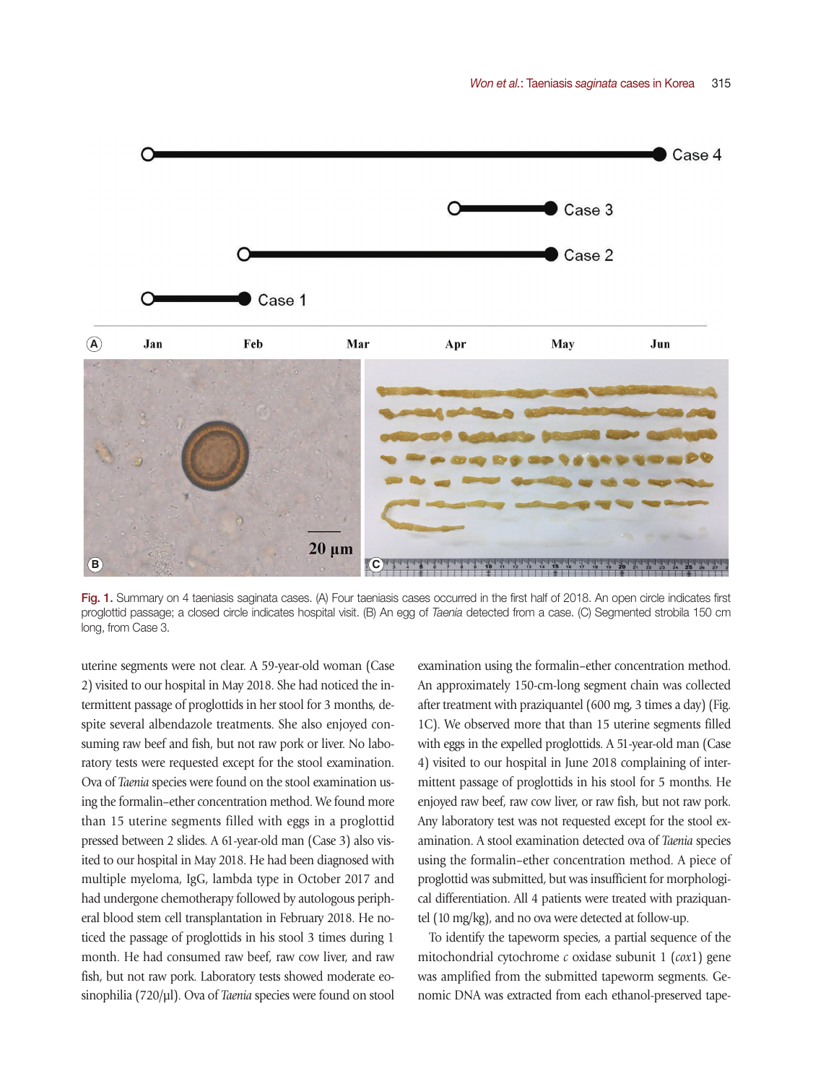

Fig. 1. Summary on 4 taeniasis saginata cases. (A) Four taeniasis cases occurred in the first half of 2018. An open circle indicates first proglottid passage; a closed circle indicates hospital visit. (B) An egg of *Taenia* detected from a case. (C) Segmented strobila 150 cm long, from Case 3.

uterine segments were not clear. A 59-year-old woman (Case 2) visited to our hospital in May 2018. She had noticed the intermittent passage of proglottids in her stool for 3 months, despite several albendazole treatments. She also enjoyed consuming raw beef and fish, but not raw pork or liver. No laboratory tests were requested except for the stool examination. Ova of *Taenia* species were found on the stool examination using the formalin–ether concentration method. We found more than 15 uterine segments filled with eggs in a proglottid pressed between 2 slides. A 61-year-old man (Case 3) also visited to our hospital in May 2018. He had been diagnosed with multiple myeloma, IgG, lambda type in October 2017 and had undergone chemotherapy followed by autologous peripheral blood stem cell transplantation in February 2018. He noticed the passage of proglottids in his stool 3 times during 1 month. He had consumed raw beef, raw cow liver, and raw fish, but not raw pork. Laboratory tests showed moderate eosinophilia (720/µl). Ova of *Taenia* species were found on stool

examination using the formalin–ether concentration method. An approximately 150-cm-long segment chain was collected after treatment with praziquantel (600 mg, 3 times a day) (Fig. 1C). We observed more that than 15 uterine segments filled with eggs in the expelled proglottids. A 51-year-old man (Case 4) visited to our hospital in June 2018 complaining of intermittent passage of proglottids in his stool for 5 months. He enjoyed raw beef, raw cow liver, or raw fish, but not raw pork. Any laboratory test was not requested except for the stool examination. A stool examination detected ova of *Taenia* species using the formalin–ether concentration method. A piece of proglottid was submitted, but was insufficient for morphological differentiation. All 4 patients were treated with praziquantel (10 mg/kg), and no ova were detected at follow-up.

To identify the tapeworm species, a partial sequence of the mitochondrial cytochrome *c* oxidase subunit 1 (*cox*1) gene was amplified from the submitted tapeworm segments. Genomic DNA was extracted from each ethanol-preserved tape-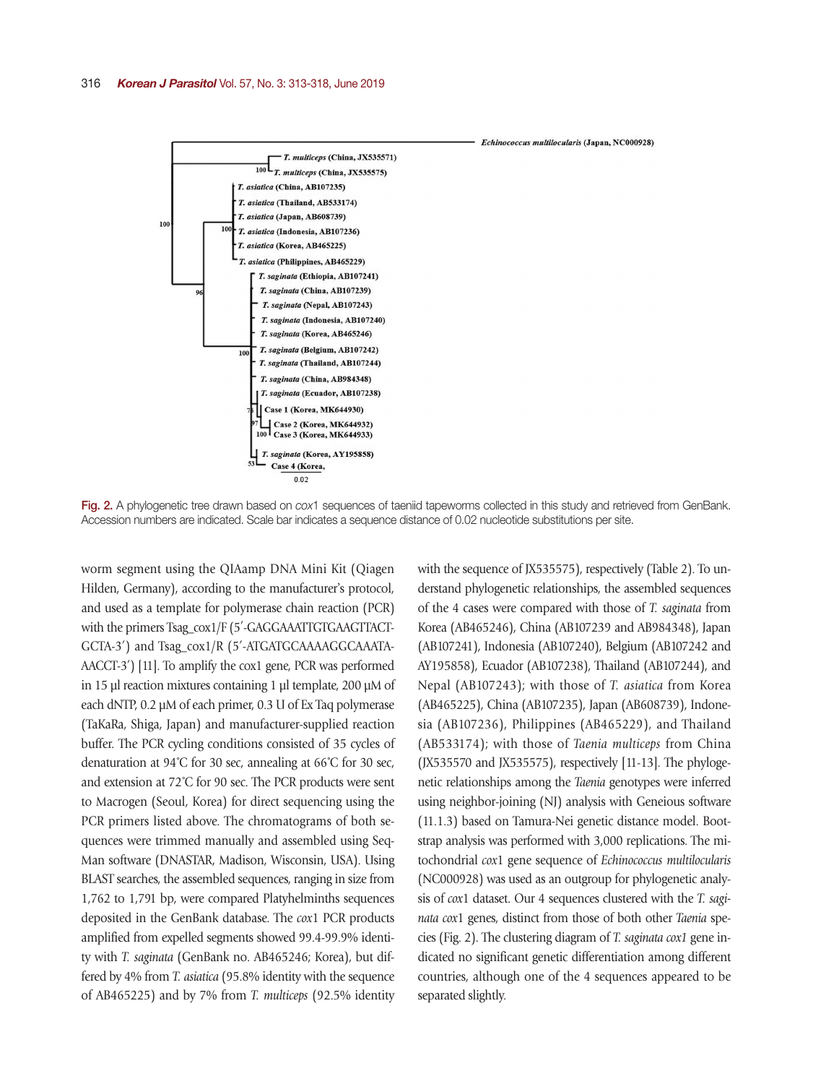

#### Echinococcus multilocularis (Japan, NC000928)

Fig. 2. A phylogenetic tree drawn based on *cox*1 sequences of taeniid tapeworms collected in this study and retrieved from GenBank. Accession numbers are indicated. Scale bar indicates a sequence distance of 0.02 nucleotide substitutions per site.

worm segment using the QIAamp DNA Mini Kit (Qiagen Hilden, Germany), according to the manufacturer's protocol, and used as a template for polymerase chain reaction (PCR) with the primers Tsag\_cox1/F (5′-GAGGAAATTGTGAAGTTACT-GCTA-3′) and Tsag\_cox1/R (5′-ATGATGCAAAAGGCAAATA-AACCT-3′) [11]. To amplify the cox1 gene, PCR was performed in 15 µl reaction mixtures containing 1 µl template, 200 µM of each dNTP, 0.2 µM of each primer, 0.3 U of Ex Taq polymerase (TaKaRa, Shiga, Japan) and manufacturer-supplied reaction buffer. The PCR cycling conditions consisted of 35 cycles of denaturation at 94˚C for 30 sec, annealing at 66˚C for 30 sec, and extension at 72˚C for 90 sec. The PCR products were sent to Macrogen (Seoul, Korea) for direct sequencing using the PCR primers listed above. The chromatograms of both sequences were trimmed manually and assembled using Seq-Man software (DNASTAR, Madison, Wisconsin, USA). Using BLAST searches, the assembled sequences, ranging in size from 1,762 to 1,791 bp, were compared Platyhelminths sequences deposited in the GenBank database. The *cox*1 PCR products amplified from expelled segments showed 99.4-99.9% identity with *T. saginata* (GenBank no. AB465246; Korea), but differed by 4% from *T. asiatica* (95.8% identity with the sequence of AB465225) and by 7% from *T. multiceps* (92.5% identity

with the sequence of JX535575), respectively (Table 2). To understand phylogenetic relationships, the assembled sequences of the 4 cases were compared with those of *T. saginata* from Korea (AB465246), China (AB107239 and AB984348), Japan (AB107241), Indonesia (AB107240), Belgium (AB107242 and AY195858), Ecuador (AB107238), Thailand (AB107244), and Nepal (AB107243); with those of *T. asiatica* from Korea (AB465225), China (AB107235), Japan (AB608739), Indonesia (AB107236), Philippines (AB465229), and Thailand (AB533174); with those of *Taenia multiceps* from China (JX535570 and JX535575), respectively [11-13]. The phylogenetic relationships among the *Taenia* genotypes were inferred using neighbor-joining (NJ) analysis with Geneious software (11.1.3) based on Tamura-Nei genetic distance model. Bootstrap analysis was performed with 3,000 replications. The mitochondrial *cox*1 gene sequence of *Echinococcus multilocularis* (NC000928) was used as an outgroup for phylogenetic analysis of *cox*1 dataset. Our 4 sequences clustered with the *T. saginata cox*1 genes, distinct from those of both other *Taenia* species (Fig. 2). The clustering diagram of *T. saginata cox1* gene indicated no significant genetic differentiation among different countries, although one of the 4 sequences appeared to be separated slightly.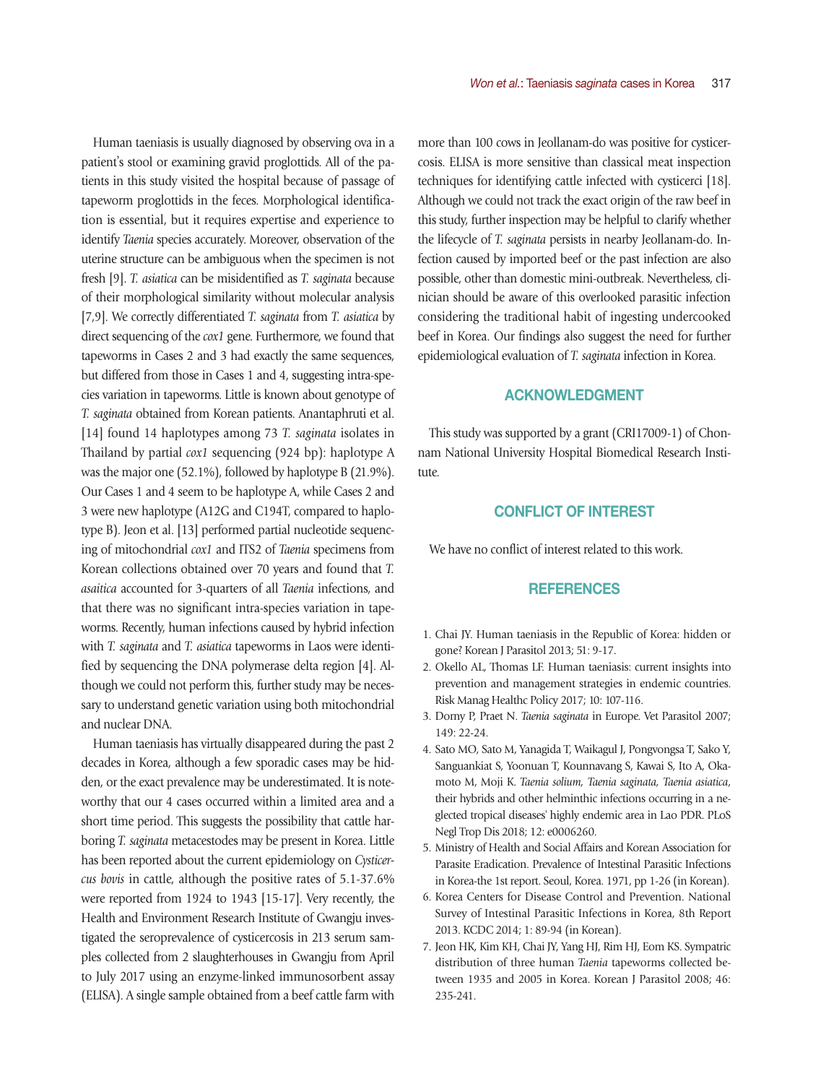Human taeniasis is usually diagnosed by observing ova in a patient's stool or examining gravid proglottids. All of the patients in this study visited the hospital because of passage of tapeworm proglottids in the feces. Morphological identification is essential, but it requires expertise and experience to identify *Taenia* species accurately. Moreover, observation of the uterine structure can be ambiguous when the specimen is not fresh [9]. *T. asiatica* can be misidentified as *T. saginata* because of their morphological similarity without molecular analysis [7,9]. We correctly differentiated *T. saginata* from *T. asiatica* by direct sequencing of the *cox1* gene. Furthermore, we found that tapeworms in Cases 2 and 3 had exactly the same sequences, but differed from those in Cases 1 and 4, suggesting intra-species variation in tapeworms. Little is known about genotype of *T. saginata* obtained from Korean patients. Anantaphruti et al. [14] found 14 haplotypes among 73 *T. saginata* isolates in Thailand by partial *cox1* sequencing (924 bp): haplotype A was the major one (52.1%), followed by haplotype B (21.9%). Our Cases 1 and 4 seem to be haplotype A, while Cases 2 and 3 were new haplotype (A12G and C194T, compared to haplotype B). Jeon et al. [13] performed partial nucleotide sequencing of mitochondrial *cox1* and ITS2 of *Taenia* specimens from Korean collections obtained over 70 years and found that *T. asaitica* accounted for 3-quarters of all *Taenia* infections, and that there was no significant intra-species variation in tapeworms. Recently, human infections caused by hybrid infection with *T. saginata* and *T. asiatica* tapeworms in Laos were identified by sequencing the DNA polymerase delta region [4]. Although we could not perform this, further study may be necessary to understand genetic variation using both mitochondrial and nuclear DNA.

Human taeniasis has virtually disappeared during the past 2 decades in Korea, although a few sporadic cases may be hidden, or the exact prevalence may be underestimated. It is noteworthy that our 4 cases occurred within a limited area and a short time period. This suggests the possibility that cattle harboring *T. saginata* metacestodes may be present in Korea. Little has been reported about the current epidemiology on *Cysticercus bovis* in cattle, although the positive rates of 5.1-37.6% were reported from 1924 to 1943 [15-17]. Very recently, the Health and Environment Research Institute of Gwangju investigated the seroprevalence of cysticercosis in 213 serum samples collected from 2 slaughterhouses in Gwangju from April to July 2017 using an enzyme-linked immunosorbent assay (ELISA). A single sample obtained from a beef cattle farm with

more than 100 cows in Jeollanam-do was positive for cysticercosis. ELISA is more sensitive than classical meat inspection techniques for identifying cattle infected with cysticerci [18]. Although we could not track the exact origin of the raw beef in this study, further inspection may be helpful to clarify whether the lifecycle of *T. saginata* persists in nearby Jeollanam-do. Infection caused by imported beef or the past infection are also possible, other than domestic mini-outbreak. Nevertheless, clinician should be aware of this overlooked parasitic infection considering the traditional habit of ingesting undercooked beef in Korea. Our findings also suggest the need for further epidemiological evaluation of *T. saginata* infection in Korea.

## ACKNOWLEDGMENT

This study was supported by a grant (CRI17009-1) of Chonnam National University Hospital Biomedical Research Institute.

### CONFLICT OF INTEREST

We have no conflict of interest related to this work.

#### **REFERENCES**

- 1. Chai JY. Human taeniasis in the Republic of Korea: hidden or gone? Korean J Parasitol 2013; 51: 9-17.
- 2. Okello AL, Thomas LF. Human taeniasis: current insights into prevention and management strategies in endemic countries. Risk Manag Healthc Policy 2017; 10: 107-116.
- 3. Dorny P, Praet N. *Taenia saginata* in Europe. Vet Parasitol 2007; 149: 22-24.
- 4. Sato MO, Sato M, Yanagida T, Waikagul J, Pongvongsa T, Sako Y, Sanguankiat S, Yoonuan T, Kounnavang S, Kawai S, Ito A, Okamoto M, Moji K. *Taenia solium, Taenia saginata, Taenia asiatica*, their hybrids and other helminthic infections occurring in a neglected tropical diseases' highly endemic area in Lao PDR. PLoS Negl Trop Dis 2018; 12: e0006260.
- 5. Ministry of Health and Social Affairs and Korean Association for Parasite Eradication. Prevalence of Intestinal Parasitic Infections in Korea-the 1st report. Seoul, Korea. 1971, pp 1-26 (in Korean).
- 6. Korea Centers for Disease Control and Prevention. National Survey of Intestinal Parasitic Infections in Korea, 8th Report 2013. KCDC 2014; 1: 89-94 (in Korean).
- 7. Jeon HK, Kim KH, Chai JY, Yang HJ, Rim HJ, Eom KS. Sympatric distribution of three human *Taenia* tapeworms collected between 1935 and 2005 in Korea. Korean J Parasitol 2008; 46: 235-241.